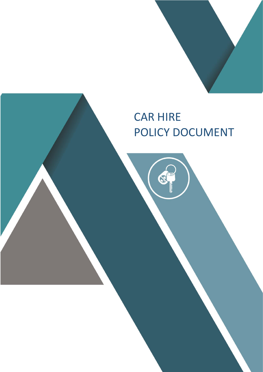# CAR HIRE POLICY DOCUMENT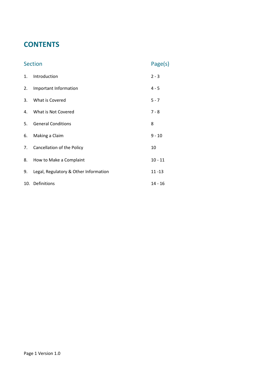# **CONTENTS**

| <b>Section</b> |                                       | Page(s)   |
|----------------|---------------------------------------|-----------|
| 1.             | Introduction                          | $2 - 3$   |
| 2.             | Important Information                 | $4 - 5$   |
| 3.             | What is Covered                       | $5 - 7$   |
| 4.             | What is Not Covered                   | $7 - 8$   |
| 5.             | <b>General Conditions</b>             | 8         |
| 6.             | Making a Claim                        | $9 - 10$  |
|                | 7. Cancellation of the Policy         | 10        |
|                | 8. How to Make a Complaint            | $10 - 11$ |
| 9.             | Legal, Regulatory & Other Information | $11 - 13$ |
|                | 10. Definitions                       | $14 - 16$ |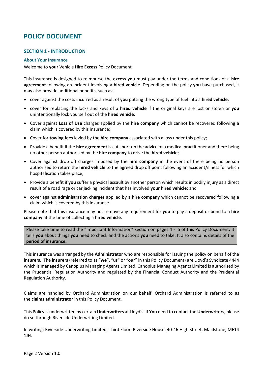# **POLICY DOCUMENT**

# **SECTION 1 - INTRODUCTION**

#### **About Your Insurance**

Welcome to **your** Vehicle Hire **Excess** Policy Document.

This insurance is designed to reimburse the **excess you** must pay under the terms and conditions of a **hire agreement** following an incident involving a **hired vehicle**. Depending on the policy **you** have purchased, it may also provide additional benefits, such as:

- cover against the costs incurred as a result of **you** putting the wrong type of fuel into a **hired vehicle**;
- cover for replacing the locks and keys of a **hired vehicle** if the original keys are lost or stolen or **you** unintentionally lock yourself out of the **hired vehicle**;
- Cover against **Loss of Use** charges applied by the **hire company** which cannot be recovered following a claim which is covered by this insurance;
- Cover for **towing fees** levied by the **hire company** associated with a loss under this policy;
- Provide a benefit if the **hire agreement** is cut short on the advice of a medical practitioner and there being no other person authorised by the **hire company** to drive the **hired vehicle**;
- Cover against drop off charges imposed by the **hire company** in the event of there being no person authorised to return the **hired vehicle** to the agreed drop off point following an accident/illness for which hospitalisation takes place;
- Provide a benefit if **you** suffer a physical assault by another person which results in bodily injury as a direct result of a road rage or car jacking incident that has involved **your hired vehicle;** and
- cover against **administration charges** applied by a **hire company** which cannot be recovered following a claim which is covered by this insurance.

Please note that this insurance may not remove any requirement for **you** to pay a deposit or bond to a **hire company** at the time of collecting a **hired vehicle**.

Please take time to read the "Important Information" section on pages 4 - 5 of this Policy Document. It tells **you** about things **you** need to check and the actions **you** need to take. It also contains details of the **period of insurance.**

This insurance was arranged by the **Administrator** who are responsible for issuing the policy on behalf of the **insurers**. The **insurers** (referred to as "**we**", "**us**" or "**our**" in this Policy Document) are Lloyd's Syndicate 4444 which is managed by Canopius Managing Agents Limited. Canopius Managing Agents Limited is authorised by the Prudential Regulation Authority and regulated by the Financial Conduct Authority and the Prudential Regulation Authority.

Claims are handled by Orchard Administration on our behalf. Orchard Administration is referred to as the **claims administrator** in this Policy Document.

This Policy is underwritten by certain **Underwriters** at Lloyd's. If **You** need to contact the **Underwriters**, please do so through Riverside Underwriting Limited.

In writing: Riverside Underwriting Limited, Third Floor, Riverside House, 40-46 High Street, Maidstone, ME14 1JH.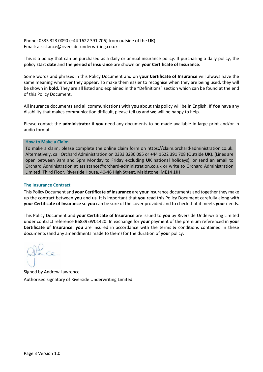Phone: 0333 323 0090 (+44 1622 391 706) from outside of the **UK**) Email: assistance@riverside-underwriting.co.uk

This is a policy that can be purchased as a daily or annual insurance policy. If purchasing a daily policy, the policy **start date** and the **period of insurance** are shown on **your Certificate of Insurance**.

Some words and phrases in this Policy Document and on **your Certificate of Insurance** will always have the same meaning wherever they appear. To make them easier to recognise when they are being used, they will be shown in **bold**. They are all listed and explained in the "Definitions" section which can be found at the end of this Policy Document.

All insurance documents and all communications with **you** about this policy will be in English. If **You** have any disability that makes communication difficult, please tell **us** and **we** will be happy to help.

Please contact the **administrator** if **you** need any documents to be made available in large print and/or in audio format.

#### **How to Make a Claim**

To make a claim, please complete the online claim form on [https://claim.orchard-administration.co.uk.](https://claim.orchard-administration.co.uk/) Alternatively, call Orchard Administration on 0333 3230 095 or +44 1622 391 708 (Outside **UK**). (Lines are open between 9am and 5pm Monday to Friday excluding **UK** national holidays), or send an email to Orchard Administration at [assistance@orchard-administration.co.uk](mailto:assistance@orchard-administration.co.uk) or write to Orchard Administration Limited, Third Floor, Riverside House, 40-46 High Street, Maidstone, ME14 1JH

#### **The Insurance Contract**

This Policy Document and **your Certificate of Insurance** are **your** insurance documents and together they make up the contract between **you** and **us**. It is important that **you** read this Policy Document carefully along with **your Certificate of Insurance** so **you** can be sure of the cover provided and to check that it meets **your** needs.

This Policy Document and **your Certificate of Insurance** are issued to **you** by Riverside Underwriting Limited under contract reference B6839EW01420. In exchange for **your** payment of the premium referenced in **your Certificate of Insurance**, **you** are insured in accordance with the terms & conditions contained in these documents (and any amendments made to them) for the duration of **your** policy.

Signed by Andrew Lawrence Authorised signatory of Riverside Underwriting Limited.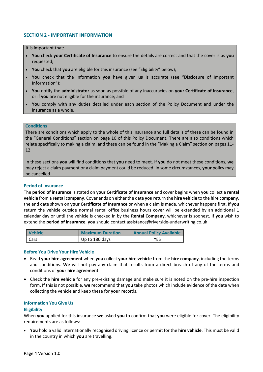# **SECTION 2 - IMPORTANT INFORMATION**

It is important that:

- **You** check **your Certificate of Insurance** to ensure the details are correct and that the cover is as **you** requested;
- **You** check that **you** are eligible for this insurance (see "Eligibility" below);
- **You** check that the information **you** have given **us** is accurate (see "Disclosure of Important Information");
- **You** notify the **administrator** as soon as possible of any inaccuracies on **your Certificate of Insurance**, or if **you** are not eligible for the insurance; and
- **You** comply with any duties detailed under each section of the Policy Document and under the insurance as a whole.

#### **Conditions**

There are conditions which apply to the whole of this insurance and full details of these can be found in the "General Conditions" section on page 10 of this Policy Document. There are also conditions which relate specifically to making a claim, and these can be found in the "Making a Claim" section on pages 11- 12.

In these sections **you** will find conditions that **you** need to meet. If **you** do not meet these conditions, **we** may reject a claim payment or a claim payment could be reduced. In some circumstances, **your** policy may be cancelled.

#### **Period of Insurance**

The **period of insurance** is stated on **your Certificate of Insurance** and cover begins when **you** collect a **rental vehicle** from a **rental company**. Cover ends on either the date **you** return the **hire vehicle** to the **hire company**, the end date shown on **your Certificate of Insurance** or when a claim is made, whichever happens first. If **you** return the vehicle outside normal rental office business hours cover will be extended by an additional 1 calendar day or until the vehicle is checked in by the **Rental Company**, whichever is soonest. If **you** wish to extend the **period of insurance**, **you** should contact assistance@riverside-underwriting.co.u[k .](mailto:drive@airportrentals.com)

| <b>Vehicle</b> | <b>Maximum Duration</b> | <b>Annual Policy Available</b> |
|----------------|-------------------------|--------------------------------|
| Cars           | Up to 180 days          | <b>YES</b>                     |

#### **Before You Drive Your Hire Vehicle**

- Read **your hire agreement** when **you** collect **your hire vehicle** from the **hire company**, including the terms and conditions. **We** will not pay any claim that results from a direct breach of any of the terms and conditions of **your hire agreement**.
- Check the **hire vehicle** for any pre-existing damage and make sure it is noted on the pre-hire inspection form. If this is not possible, **we** recommend that **you** take photos which include evidence of the date when collecting the vehicle and keep these for **your** records.

# **Information You Give Us**

#### **Eligibility**

When **you** applied for this insurance **we** asked **you** to confirm that **you** were eligible for cover. The eligibility requirements are as follows:

• **You** hold a valid internationally recognised driving licence or permit for the **hire vehicle**. This must be valid in the country in which **you** are travelling.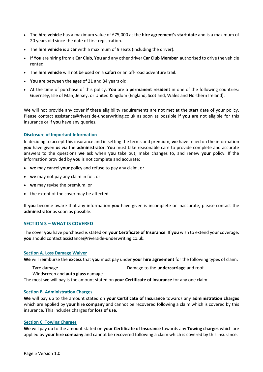- The **hire vehicle** has a maximum value of £75,000 at the **hire agreement's start date** and is a maximum of 20 years old since the date of first registration.
- The **hire vehicle** is a **car** with a maximum of 9 seats (including the driver).
- If **You** are hiring from a **Car Club, You** and any other driver **Car Club Member** authorised to drive the vehicle rented.
- The **hire vehicle** will not be used on a **safari** or an off-road adventure trail.
- **You** are between the ages of 21 and 84 years old.
- At the time of purchase of this policy, **You** are a **permanent resident** in one of the following countries: Guernsey, Isle of Man, Jersey, or United Kingdom (England, Scotland, Wales and Northern Ireland).

We will not provide any cover if these eligibility requirements are not met at the start date of your policy. Please contact assistance@riverside-underwriting.co.uk as soon as possible if **you** are not eligible for this insurance or if **you** have any queries.

# **Disclosure of Important Information**

In deciding to accept this insurance and in setting the terms and premium, **we** have relied on the information **you** have given **us** via the **administrator**. **You** must take reasonable care to provide complete and accurate answers to the questions **we** ask when **you** take out, make changes to, and renew **your** policy. If the information provided by **you** is not complete and accurate:

- **we** may cancel **your** policy and refuse to pay any claim, or
- **we** may not pay any claim in full, or
- **we** may revise the premium, or
- the extent of the cover may be affected.

If **you** become aware that any information **you** have given is incomplete or inaccurate, please contact the **administrator** as soon as possible.

# **SECTION 3 – WHAT IS COVERED**

The cover **you** have purchased is stated on **your Certificate of Insurance**. If **you** wish to extend your coverage, **you** should contact assistance@riverside-underwriting.co.uk.

### **Section A. Loss Damage Waiver**

**We** will reimburse the **excess** that **you** must pay under **your hire agreement** for the following types of claim:

Tyre damage

- Damage to the **undercarriage** and roof
- Windscreen and **auto glass** damage

The most **we** will pay is the amount stated on **your Certificate of Insurance** for any one claim.

### **Section B. Administration Charges**

**We** will pay up to the amount stated on **your Certificate of Insurance** towards any **administration charges** which are applied by **your hire company** and cannot be recovered following a claim which is covered by this insurance. This includes charges for **loss of use**.

### **Section C. Towing Charges**

**We** will pay up to the amount stated on **your Certificate of Insurance** towards any **Towing charges** which are applied by **your hire company** and cannot be recovered following a claim which is covered by this insurance.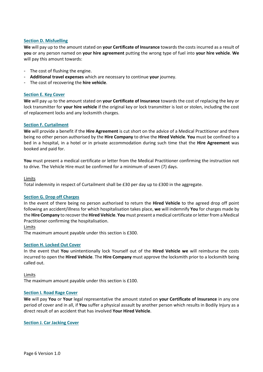#### **Section D. Misfuelling**

**We** will pay up to the amount stated on **your Certificate of Insurance** towards the costs incurred as a result of **you** or any person named on **your hire agreement** putting the wrong type of fuel into **your hire vehicle**. **We**  will pay this amount towards:

- The cost of flushing the engine.
- **Additional travel expenses** which are necessary to continue **your** journey.
- The cost of recovering the **hire vehicle**.

#### **Section E. Key Cover**

**We** will pay up to the amount stated on **your Certificate of Insurance** towards the cost of replacing the key or lock transmitter for **your hire vehicle** if the original key or lock transmitter is lost or stolen, including the cost of replacement locks and any locksmith charges.

#### **Section F. Curtailment**

**We** will provide a benefit if the **Hire Agreement** is cut short on the advice of a Medical Practitioner and there being no other person authorised by the **Hire Company** to drive the **Hired Vehicle**. **You** must be confined to a bed in a hospital, in a hotel or in private accommodation during such time that the **Hire Agreement** was booked and paid for.

**You** must present a medical certificate or letter from the Medical Practitioner confirming the instruction not to drive. The Vehicle Hire must be confirmed for a minimum of seven (7) days.

#### Limits

Total indemnity in respect of Curtailment shall be £30 per day up to £300 in the aggregate.

### **Section G. Drop off Charges**

In the event of there being no person authorised to return the **Hired Vehicle** to the agreed drop off point following an accident/illness for which hospitalisation takes place, **we** will indemnify **You** for charges made by the **Hire Company** to recover the **Hired Vehicle**. **You** must present a medical certificate or letter from a Medical Practitioner confirming the hospitalisation.

Limits

The maximum amount payable under this section is £300.

#### **Section H. Locked Out Cover**

In the event that **You** unintentionally lock Yourself out of the **Hired Vehicle we** will reimburse the costs incurred to open the **Hired Vehicle**. The **Hire Company** must approve the locksmith prior to a locksmith being called out.

#### Limits

The maximum amount payable under this section is £100.

#### **Section I. Road Rage Cover**

**We** will pay **You** or **Your** legal representative the amount stated on **your Certificate of Insurance** in any one period of cover and in all, if **You** suffer a physical assault by another person which results in Bodily Injury as a direct result of an accident that has involved **Your Hired Vehicle**.

#### **Section J. Car Jacking Cover**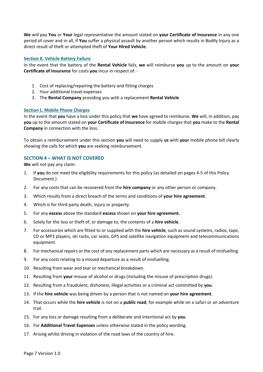**We** will pay **You** or **Your** legal representative the amount stated on **your Certificate of Insurance** in any one period of cover and in all, if **You** suffer a physical assault by another person which results in Bodily Injury as a direct result of theft or attempted theft of **Your Hired Vehicle**.

### **Section K. Vehicle Battery Failure**

In the event that the battery of the **Rental Vehicle** fails, **we** will reimburse **you** up to the amount on **your Certificate of Insurance** for costs **you** incur in respect of: -

- 1. Cost of replacing/repairing the battery and fitting charges
- 2. Your additional travel expenses
- 3. The **Rental Company** providing you with a replacement **Rental Vehicle**

### **Section L. Mobile Phone Charges**

In the event that **you** have a loss under this policy that **we** have agreed to reimburse. **We** will, in addition, pay **you** up to the amount stated on **your Certificate of Insurance** for mobile charges that **you** make to the **Rental Company** in connection with the loss.

To obtain a reimbursement under this section **you** will need to supply **us** with **your** mobile phone bill clearly showing the calls for which **you** are seeking reimbursement.

# **SECTION 4 – WHAT IS NOT COVERED**

**We** will not pay any claim:

- 1. If **you** do not meet the eligibility requirements for this policy (as detailed on pages 4-5 of this Policy Document.)
- 2. For any costs that can be recovered from the **hire company** or any other person or company.
- 3. Which results from a direct breach of the terms and conditions of **your hire agreement**.
- 4. Which is for third party death, injury or property.
- 5. For any **excess** above the standard **excess** shown on **your hire agreement.**
- 6. Solely for the loss or theft of, or damage to, the contents of a **hire vehicle**.
- 7. For accessories which are fitted to or supplied with the **hire vehicle**, such as sound systems, radios, tape, CD or MP3 players, ski racks, car seats, GPS and satellite navigation equipment and telecommunications equipment.
- 8. For mechanical repairs or the cost of any replacement parts which are necessary as a result of misfuelling.
- 9. For any costs relating to a missed departure as a result of misfuelling.
- 10. Resulting from wear and tear or mechanical breakdown.
- 11. Resulting from **your** misuse of alcohol or drugs (including the misuse of prescription drugs).
- 12. Resulting from a fraudulent, dishonest, illegal activities or a criminal act committed by **you**.
- 13. If the **hire vehicle** was being driven by a person that is not named on **your hire agreement**.
- 14. That occurs while the **hire vehicle** is not on a **public road**, for example while on a safari or an adventure trail.
- 15. For any loss or damage resulting from a deliberate and intentional act by **you**.
- 16. For **Additional Travel Expenses** unless otherwise stated in the policy wording.
- 17. Arising whilst driving in violation of the road laws of the country of hire.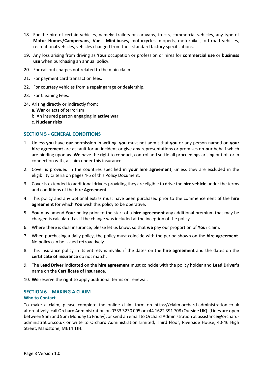- 18. For the hire of certain vehicles, namely: trailers or caravans, trucks, commercial vehicles, any type of **Motor Homes/Campervans, Vans**, **Mini-buses,** motorcycles, mopeds, motorbikes, off-road vehicles, recreational vehicles, vehicles changed from their standard factory specifications.
- 19. Any loss arising from driving as **Your** occupation or profession or hires for **commercial use** or **business use** when purchasing an annual policy.
- 20. For call out charges not related to the main claim.
- 21. For payment card transaction fees.
- 22. For courtesy vehicles from a repair garage or dealership.
- 23. For Cleaning Fees.
- 24. Arising directly or indirectly from:
	- a. **War** or acts of terrorism
	- b. An insured person engaging in **active war**
	- c. **Nuclear risks**

#### **SECTION 5 - GENERAL CONDITIONS**

- 1. Unless **you** have **our** permission in writing, **you** must not admit that **you** or any person named on **your hire agreement** are at fault for an incident or give any representations or promises on **our** behalf which are binding upon **us**. **We** have the right to conduct, control and settle all proceedings arising out of, or in connection with, a claim under this insurance.
- 2. Cover is provided in the countries specified in **your hire agreement**, unless they are excluded in the eligibility criteria on pages 4-5 of this Policy Document.
- 3. Cover is extended to additional drivers providing they are eligible to drive the **hire vehicle** under the terms and conditions of the **hire Agreement**.
- 4. This policy and any optional extras must have been purchased prior to the commencement of the **hire agreement** for which **You** wish this policy to be operative.
- 5. **You** may amend **Your** policy prior to the start of a **hire agreement** any additional premium that may be charged is calculated as if the change was included at the inception of the policy.
- 6. Where there is dual insurance, please let us know, so that **we** pay our proportion of **Your** claim.
- 7. When purchasing a daily policy, the policy must coincide with the period shown on the **hire agreement**. No policy can be issued retroactively.
- 8. This insurance policy in its entirety is invalid if the dates on the **hire agreement** and the dates on the **certificate of insurance** do not match.
- 9. The **Lead Driver** indicated on the **hire agreement** must coincide with the policy holder and **Lead Driver's** name on the **Certificate of Insurance**.
- 10. **We** reserve the right to apply additional terms on renewal.

### **SECTION 6 – MAKING A CLAIM**

### **Who to Contact**

To make a claim, please complete the online claim form on [https://claim.orchard-administration.co.uk](https://claim.orchard-administration.co.uk/) alternatively, call Orchard Administration on 0333 3230 095 or +44 1622 391 708 (Outside **UK**). (Lines are open between 9am and 5pm Monday to Friday), or send an email to Orchard Administration at [assistance@orchard](mailto:assistance@orchard-administration.co.uk)[administration.co.uk](mailto:assistance@orchard-administration.co.uk) or write to Orchard Administration Limited, Third Floor, Riverside House, 40-46 High Street, Maidstone, ME14 1JH.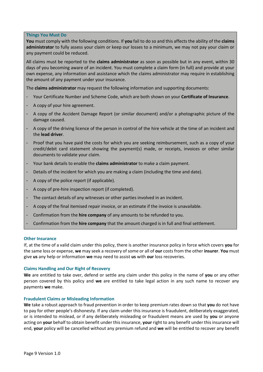#### **Things You Must Do**

**You** must comply with the following conditions. If **you** fail to do so and this affects the ability of the **claims administrator** to fully assess your claim or keep our losses to a minimum, we may not pay your claim or any payment could be reduced.

All claims must be reported to the **claims administrator** as soon as possible but in any event, within 30 days of you becoming aware of an incident. You must complete a claim form (in full) and provide at your own expense, any information and assistance which the claims administrator may require in establishing the amount of any payment under your insurance.

The **claims administrator** may request the following information and supporting documents:

- Your Certificate Number and Scheme Code, which are both shown on your **Certificate of Insurance**.
- A copy of your hire agreement.
- A copy of the Accident Damage Report (or similar document) and/or a photographic picture of the damage caused.
- A copy of the driving licence of the person in control of the hire vehicle at the time of an incident and the **lead driver**.
- Proof that you have paid the costs for which you are seeking reimbursement, such as a copy of your credit/debit card statement showing the payment(s) made, or receipts, invoices or other similar documents to validate your claim.
- Your bank details to enable the **claims administrator** to make a claim payment.
- Details of the incident for which you are making a claim (including the time and date).
- A copy of the police report (if applicable).
- A copy of pre-hire inspection report (if completed).
- The contact details of any witnesses or other parties involved in an incident.
- A copy of the final itemised repair invoice, or an estimate if the invoice is unavailable.
- Confirmation from the **hire company** of any amounts to be refunded to you.
- Confirmation from the **hire company** that the amount charged is in full and final settlement.

### **Other Insurance**

If, at the time of a valid claim under this policy, there is another insurance policy in force which covers **you** for the same loss or expense, **we** may seek a recovery of some or all of **our** costs from the other **insurer**. **You** must give **us** any help or information **we** may need to assist **us** with **our** loss recoveries.

### **Claims Handling and Our Right of Recovery**

**We** are entitled to take over, defend or settle any claim under this policy in the name of **you** or any other person covered by this policy and **we** are entitled to take legal action in any such name to recover any payments **we** make.

### **Fraudulent Claims or Misleading Information**

**We** take a robust approach to fraud prevention in order to keep premium rates down so that **you** do not have to pay for other people's dishonesty. If any claim under this insurance is fraudulent, deliberately exaggerated, or is intended to mislead, or if any deliberately misleading or fraudulent means are used by **you** or anyone acting on **your** behalf to obtain benefit under this insurance, **your** right to any benefit under this insurance will end, **your** policy will be cancelled without any premium refund and **we** will be entitled to recover any benefit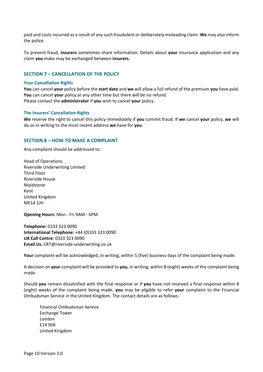paid and costs incurred as a result of any such fraudulent or deliberately misleading claim. **We** may also inform the police.

To prevent fraud, **insurers** sometimes share information. Details about **your** insurance application and any claim **you** make may be exchanged between **insurers**.

# **SECTION 7 – CANCELLATION OF THE POLICY**

#### **Your Cancellation Rights**

**You** can cancel **your** policy before the **start date** and **we** will allow a full refund of the premium **you** have paid. **You** can cancel **your** policy at any other time but there will be no refund. Please contact the **administrator** if **you** wish to cancel **your** policy.

#### **The Insurers' Cancellation Rights**

**We** reserve the right to cancel this policy immediately if **you** commit fraud. If **we** cancel **your** policy, **we** will do so in writing to the most recent address **we** have for **you**.

#### **SECTION 8 – HOW TO MAKE A COMPLAINT**

Any complaint should be addressed to:

Head of Operations Riverside Underwriting Limited Third Floor Riverside House Maidstone Kent United Kingdom ME14 1JH

**Opening Hours:** Mon - Fri 9AM - 6PM

**Telephone:** 0333 323 0090 **International Telephone:** +44 (0)333 323 0090 **UK Call Centre:** 0333 323 0090 **Email Us:** CRT@riverside-underwriting.co.uk

**Your** complaint will be acknowledged, in writing, within 5 (five) business days of the complaint being made.

A decision on **your** complaint will be provided to **you**, in writing, within 8 (eight) weeks of the complaint being made.

Should **you** remain dissatisfied with the final response or if **you** have not received a final response within 8 (eight) weeks of the complaint being made, **you** may be eligible to refer **your** complaint to the Financial Ombudsman Service in the United Kingdom. The contact details are as follows:

Financial Ombudsman Service Exchange Tower London E14 9SR United Kingdom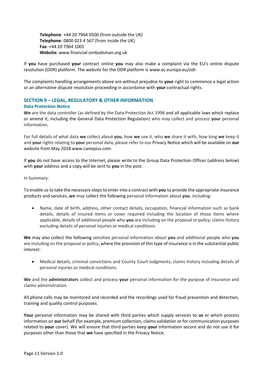**Telephone**: +44 20 7964 0500 (from outside the UK) **Telephone**: 0800 023 4 567 (from inside the UK) **Fax**: +44 20 7964 1001 **Website**: www.financial-ombudsman.org.uk

If **you** have purchased **your** contract online **you** may also make a complaint via the EU's online dispute resolution (ODR) platform. The website for the ODR platform is www.ec.europa.eu/odr.

The complaints handling arrangements above are without prejudice to **your** right to commence a legal action or an alternative dispute resolution proceeding in accordance with **your** contractual rights.

# **SECTION 9 – LEGAL, REGULATORY & OTHER INFORMATION**

# **Data Protection Notice**

**We** are the data controller (as defined by the Data Protection Act 1998 and all applicable laws which replace or amend it, including the General Data Protection Regulation) who may collect and process **your** personal information.

For full details of what data **we** collect about **you**, how **we** use it, who **we** share it with, how long **we** keep it and **your** rights relating to **your** personal data, please refer to our Privacy Notice which will be available on **our** website from May 2018 www.canopius.com.

If **you** do not have access to the Internet, please write to the Group Data Protection Officer (address below) with **your** address and a copy will be sent to **you** in the post.

# In Summary:

To enable us to take the necessary steps to enter into a contract with **you** to provide the appropriate insurance products and services, **we** may collect the following personal information about **you**, including:

• Name, date of birth, address, other contact details, occupation, financial information such as bank details, details of insured items or cover required including the location of those items where applicable, details of additional people who **you** are including on the proposal or policy, claims history excluding details of personal injuries or medical conditions

**We** may also collect the following sensitive personal information about **you** and additional people who **you** are including on the proposal or policy, where the provision of this type of insurance is in the substantial public interest:

• Medical details, criminal convictions and County Court Judgments, claims history including details of personal injuries or medical conditions.

**We** and the **administrators** collect and process **your** personal information for the purpose of insurance and claims administration.

All phone calls may be monitored and recorded and the recordings used for fraud prevention and detection, training and quality control purposes.

**Your** personal information may be shared with third parties which supply services to **us** or which process information on **our** behalf (for example, premium collection, claims validation or for communication purposes related to **your** cover). We will ensure that third parties keep **your** information secure and do not use it for purposes other than those that **we** have specified in the Privacy Notice.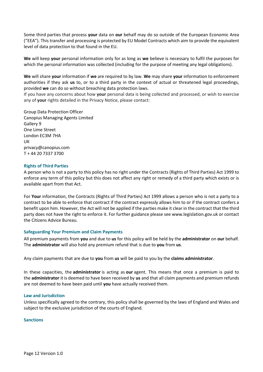Some third parties that process **your** data on **our** behalf may do so outside of the European Economic Area ("EEA"). This transfer and processing is protected by EU Model Contracts which aim to provide the equivalent level of data protection to that found in the EU.

**We** will keep **your** personal information only for as long as **we** believe is necessary to fulfil the purposes for which the personal information was collected (including for the purpose of meeting any legal obligations).

**We** will share **your** information if **we** are required to by law. **We** may share **your** information to enforcement authorities if they ask **us** to, or to a third party in the context of actual or threatened legal proceedings, provided **we** can do so without breaching data protection laws.

If you have any concerns about how **your** personal data is being collected and processed, or wish to exercise any of **your** rights detailed in the Privacy Notice, please contact:

Group Data Protection Officer Canopius Managing Agents Limited Gallery 9 One Lime Street London EC3M 7HA UK privacy@canopius.com T + 44 20 7337 3700

#### **Rights of Third Parties**

A person who is not a party to this policy has no right under the Contracts (Rights of Third Parties) Act 1999 to enforce any term of this policy but this does not affect any right or remedy of a third party which exists or is available apart from that Act.

For **Your** information, the Contracts (Rights of Third Parties) Act 1999 allows a person who is not a party to a contract to be able to enforce that contract if the contract expressly allows him to or if the contract confers a benefit upon him. However, the Act will not be applied if the parties make it clear in the contract that the third party does not have the right to enforce it. For further guidance please see www.legislation.gov.uk or contact the Citizens Advice Bureau.

#### **Safeguarding Your Premium and Claim Payments**

All premium payments from **you** and due to **us** for this policy will be held by the **administrator** on **our** behalf. The **administrator** will also hold any premium refund that is due to **you** from **us**.

Any claim payments that are due to **you** from **us** will be paid to you by the **claims administrator**.

In these capacities, the **administrator** is acting as **our** agent. This means that once a premium is paid to the **administrator** it is deemed to have been received by **us** and that all claim payments and premium refunds are not deemed to have been paid until **you** have actually received them.

#### **Law and Jurisdiction**

Unless specifically agreed to the contrary, this policy shall be governed by the laws of England and Wales and subject to the exclusive jurisdiction of the courts of England.

#### **Sanctions**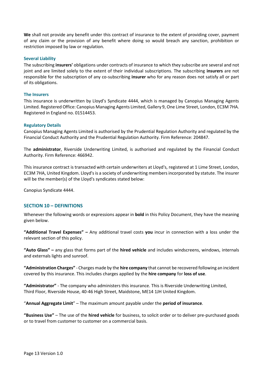**We** shall not provide any benefit under this contract of insurance to the extent of providing cover, payment of any claim or the provision of any benefit where doing so would breach any sanction, prohibition or restriction imposed by law or regulation.

#### **Several Liability**

The subscribing **insurers'** obligations under contracts of insurance to which they subscribe are several and not joint and are limited solely to the extent of their individual subscriptions. The subscribing **insurers** are not responsible for the subscription of any co-subscribing **insurer** who for any reason does not satisfy all or part of its obligations.

#### **The Insurers**

This insurance is underwritten by Lloyd's Syndicate 4444, which is managed by Canopius Managing Agents Limited. Registered Office: Canopius Managing Agents Limited, Gallery 9, One Lime Street, London, EC3M 7HA. Registered in England no. 01514453.

#### **Regulatory Details**

Canopius Managing Agents Limited is authorised by the Prudential Regulation Authority and regulated by the Financial Conduct Authority and the Prudential Regulation Authority. Firm Reference: 204847.

The **administrator**, Riverside Underwriting Limited, is authorised and regulated by the Financial Conduct Authority. Firm Reference: 466942.

This insurance contract is transacted with certain underwriters at Lloyd's, registered at 1 Lime Street, London, EC3M 7HA, United Kingdom. Lloyd's is a society of underwriting members incorporated by statute. The insurer will be the member(s) of the Lloyd's syndicates stated below:

Canopius Syndicate 4444.

### **SECTION 10 – DEFINITIONS**

Whenever the following words or expressions appear in **bold** in this Policy Document, they have the meaning given below.

**"Additional Travel Expenses" –** Any additional travel costs **you** incur in connection with a loss under the relevant section of this policy.

**"Auto Glass" –** any glass that forms part of the **hired vehicle** and includes windscreens, windows, internals and externals lights and sunroof.

**"Administration Charges"** - Charges made by the **hire company** that cannot be recovered following an incident covered by this insurance. This includes charges applied by the **hire company** for **loss of use**.

**"Administrator"** - The company who administers this insurance. This is Riverside Underwriting Limited, Third Floor, Riverside House, 40-46 High Street, Maidstone, ME14 1JH United Kingdom.

"**Annual Aggregate Limit**" – The maximum amount payable under the **period of insurance**.

**"Business Use"** – The use of the **hired vehicle** for business, to solicit order or to deliver pre-purchased goods or to travel from customer to customer on a commercial basis.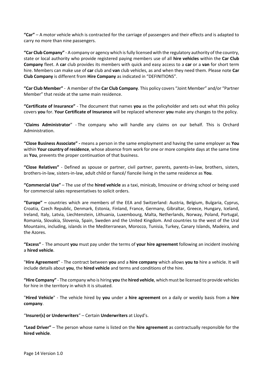**"Car"** – A motor vehicle which is contracted for the carriage of passengers and their effects and is adapted to carry no more than nine passengers.

**"Car Club Company"** - A company or agency which is fully licensed with the regulatory authority of the country, state or local authority who provide registered paying members use of all **hire vehicles** within the **Car Club Company** fleet. A **car** club provides its members with quick and easy access to a **car** or a **van** for short term hire. Members can make use of **car** club and **van** club vehicles, as and when they need them. Please note **Car Club Company** is different from **Hire Company** as indicated in "DEFINITIONS".

**"Car Club Member"** - A member of the **Car Club Company**. This policy covers "Joint Member" and/or "Partner Member" that reside at the same main residence.

**"Certificate of Insurance"** - The document that names **you** as the policyholder and sets out what this policy covers **you** for. **Your Certificate of Insurance** will be replaced whenever **you** make any changes to the policy.

"**Claims Administrator**" - The company who will handle any claims on our behalf. This is Orchard Administration.

**"Close Business Associate" -** means a person in the same employment and having the same employer as **You** within **Your country of residence**, whose absence from work for one or more complete days at the same time as **You**, prevents the proper continuation of that business.

**"Close Relatives"** - Defined as spouse or partner, civil partner, parents, parents-in-law, brothers, sisters, brothers-in-law, sisters-in-law, adult child or fiancé/ fiancée living in the same residence as **You**.

**"Commercial Use"** – The use of the **hired vehicle** as a taxi, minicab, limousine or driving school or being used for commercial sales representatives to solicit orders.

**"Europe" –** countries which are members of the EEA and Switzerland: Austria, Belgium, Bulgaria, Cyprus, Croatia, Czech Republic, Denmark, Estonia, Finland, France, Germany, Gibraltar, Greece, Hungary, Iceland, Ireland, Italy, Latvia, Liechtenstein, Lithuania, Luxembourg, Malta, Netherlands, Norway, Poland, Portugal, Romania, Slovakia, Slovenia, Spain, Sweden and the United Kingdom. And countries to the west of the Ural Mountains, including, islands in the Mediterranean, Morocco, Tunisia, Turkey, Canary Islands, Madeira, and the Azores.

**"Excess"** - The amount **you** must pay under the terms of **your hire agreement** following an incident involving a **hired vehicle**.

"**Hire Agreement**" - The contract between **you** and a **hire company** which allows **you to** hire a vehicle. It will include details about **you**, the **hired vehicle** and terms and conditions of the hire.

**"Hire Company"** - The company who is hiring **you** the **hired vehicle**, which must be licensed to provide vehicles for hire in the territory in which it is situated.

"**Hired Vehicle**" - The vehicle hired by **you** under a **hire agreement** on a daily or weekly basis from a **hire company**.

"**Insurer(s) or Underwriters**" – Certain **Underwriters** at Lloyd's.

**"Lead Driver"** – The person whose name is listed on the **hire agreement** as contractually responsible for the **hired vehicle**.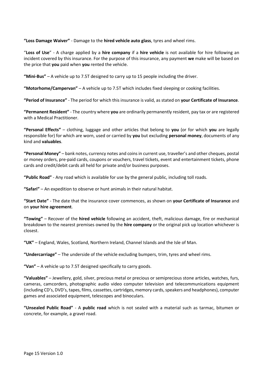**"Loss Damage Waiver"** - Damage to the **hired vehicle auto glass**, tyres and wheel rims.

"**Loss of Use**" - A charge applied by a **hire company** if a **hire vehicle** is not available for hire following an incident covered by this insurance. For the purpose of this insurance, any payment **we** make will be based on the price that **you** paid when **you** rented the vehicle.

**"Mini-Bus"** – A vehicle up to 7.5T designed to carry up to 15 people including the driver.

**"Motorhome/Campervan"** – A vehicle up to 7.5T which includes fixed sleeping or cooking facilities.

**"Period of Insurance"** - The period for which this insurance is valid, as stated on **your Certificate of Insurance**.

**"Permanent Resident"** - The country where **you** are ordinarily permanently resident, pay tax or are registered with a Medical Practitioner.

**"Personal Effects"** – clothing, luggage and other articles that belong to **you** (or for which **you** are legally responsible for) for which are worn, used or carried by **you** but excluding **personal money**, documents of any kind and **valuables**.

**"Personal Money"** – bank notes, currency notes and coins in current use, traveller's and other cheques, postal or money orders, pre-paid cards, coupons or vouchers, travel tickets, event and entertainment tickets, phone cards and credit/debit cards all held for private and/or business purposes.

**"Public Road"** - Any road which is available for use by the general public, including toll roads.

**"Safari"** – An expedition to observe or hunt animals in their natural habitat.

**"Start Date"** - The date that the insurance cover commences, as shown on **your Certificate of Insurance** and on **your hire agreement**.

**"Towing"** – Recover of the **hired vehicle** following an accident, theft, malicious damage, fire or mechanical breakdown to the nearest premises owned by the **hire company** or the original pick up location whichever is closest.

**"UK"** – England, Wales, Scotland, Northern Ireland, Channel Islands and the Isle of Man.

**"Undercarriage"** – The underside of the vehicle excluding bumpers, trim, tyres and wheel rims.

**"Van"** – A vehicle up to 7.5T designed specifically to carry goods.

**"Valuables"** – Jewellery, gold, silver, precious metal or precious or semiprecious stone articles, watches, furs, cameras, camcorders, photographic audio video computer television and telecommunications equipment (including CD's, DVD's, tapes, films, cassettes, cartridges, memory cards, speakers and headphones), computer games and associated equipment, telescopes and binoculars.

**"Unsealed Public Road"** - A **public road** which is not sealed with a material such as tarmac, bitumen or concrete, for example, a gravel road.